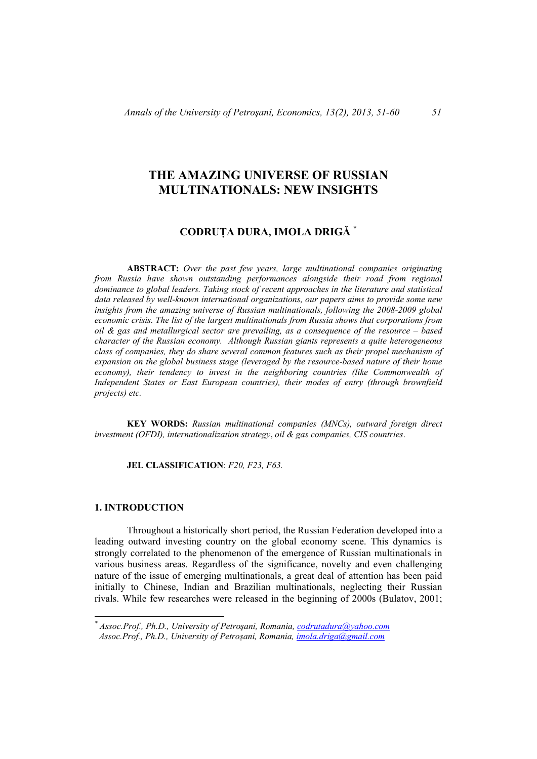# **THE AMAZING UNIVERSE OF RUSSIAN MULTINATIONALS: NEW INSIGHTS**

## **CODRUȚA DURA, IMOLA DRIGĂ** \*

**ABSTRACT:** *Over the past few years, large multinational companies originating from Russia have shown outstanding performances alongside their road from regional dominance to global leaders. Taking stock of recent approaches in the literature and statistical data released by well-known international organizations, our papers aims to provide some new insights from the amazing universe of Russian multinationals, following the 2008-2009 global economic crisis. The list of the largest multinationals from Russia shows that corporations from oil & gas and metallurgical sector are prevailing, as a consequence of the resource – based character of the Russian economy. Although Russian giants represents a quite heterogeneous class of companies, they do share several common features such as their propel mechanism of expansion on the global business stage (leveraged by the resource-based nature of their home economy), their tendency to invest in the neighboring countries (like Commonwealth of Independent States or East European countries), their modes of entry (through brownfield projects) etc.* 

**KEY WORDS:** *Russian multinational companies (MNCs), outward foreign direct investment (OFDI), internationalization strategy*, *oil & gas companies, CIS countries*.

**JEL CLASSIFICATION**: *F20, F23, F63.*

## **1. INTRODUCTION**

l

Throughout a historically short period, the Russian Federation developed into a leading outward investing country on the global economy scene. This dynamics is strongly correlated to the phenomenon of the emergence of Russian multinationals in various business areas. Regardless of the significance, novelty and even challenging nature of the issue of emerging multinationals, a great deal of attention has been paid initially to Chinese, Indian and Brazilian multinationals, neglecting their Russian rivals. While few researches were released in the beginning of 2000s (Bulatov, 2001;

*<sup>\*</sup> Assoc.Prof., Ph.D., University of Petroşani, Romania, codrutadura@yahoo.com Assoc.Prof., Ph.D., University of Petroșani, Romania, imola.driga@gmail.com*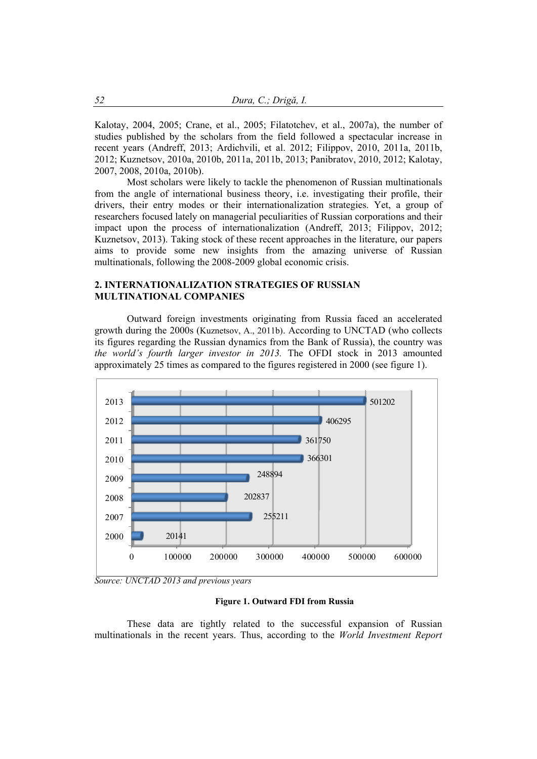Kalotay, 2004, 2005; Crane, et al., 2005; Filatotchev, et al., 2007a), the number of studies published by the scholars from the field followed a spectacular increase in recent years (Andreff, 2013; Ardichvili, et al. 2012; Filippov, 2010, 2011a, 2011b, 2012; Kuznetsov, 2010a, 2010b, 2011a, 2011b, 2013; Panibratov, 2010, 2012; Kalotay, 2007, 2008, 2010a, 2010b).

Most scholars were likely to tackle the phenomenon of Russian multinationals from the angle of international business theory, i.e. investigating their profile, their drivers, their entry modes or their internationalization strategies. Yet, a group of researchers focused lately on managerial peculiarities of Russian corporations and their impact upon the process of internationalization (Andreff, 2013; Filippov, 2012; Kuznetsov, 2013). Taking stock of these recent approaches in the literature, our papers aims to provide some new insights from the amazing universe of Russian multinationals, following the 2008-2009 global economic crisis.

### **2. INTERNATIONALIZATION STRATEGIES OF RUSSIAN MULTINATIONAL COMPANIES**

Outward foreign investments originating from Russia faced an accelerated growth during the 2000s (Kuznetsov, A., 2011b). According to UNCTAD (who collects its figures regarding the Russian dynamics from the Bank of Russia), the country was *the world's fourth larger investor in 2013.* The OFDI stock in 2013 amounted approximately 25 times as compared to the figures registered in 2000 (see figure 1).



*Source: UNCTAD 2013 and previous years* 

#### **Figure 1. Outward FDI from Russia**

These data are tightly related to the successful expansion of Russian multinationals in the recent years. Thus, according to the *World Investment Report*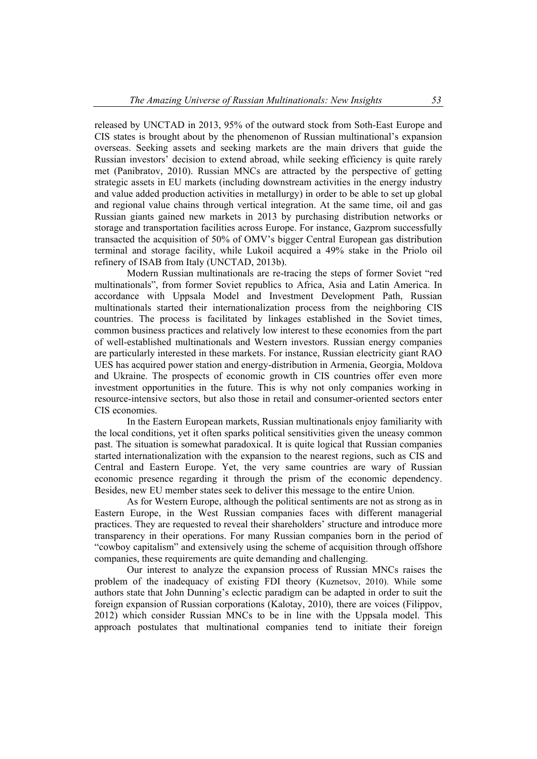released by UNCTAD in 2013, 95% of the outward stock from Soth-East Europe and CIS states is brought about by the phenomenon of Russian multinational's expansion overseas. Seeking assets and seeking markets are the main drivers that guide the Russian investors' decision to extend abroad, while seeking efficiency is quite rarely met (Panibratov, 2010). Russian MNCs are attracted by the perspective of getting strategic assets in EU markets (including downstream activities in the energy industry and value added production activities in metallurgy) in order to be able to set up global and regional value chains through vertical integration. At the same time, oil and gas Russian giants gained new markets in 2013 by purchasing distribution networks or storage and transportation facilities across Europe. For instance, Gazprom successfully transacted the acquisition of 50% of OMV's bigger Central European gas distribution terminal and storage facility, while Lukoil acquired a 49% stake in the Priolo oil refinery of ISAB from Italy (UNCTAD, 2013b).

Modern Russian multinationals are re-tracing the steps of former Soviet "red multinationals", from former Soviet republics to Africa, Asia and Latin America. In accordance with Uppsala Model and Investment Development Path, Russian multinationals started their internationalization process from the neighboring CIS countries. The process is facilitated by linkages established in the Soviet times, common business practices and relatively low interest to these economies from the part of well-established multinationals and Western investors. Russian energy companies are particularly interested in these markets. For instance, Russian electricity giant RAO UES has acquired power station and energy-distribution in Armenia, Georgia, Moldova and Ukraine. The prospects of economic growth in CIS countries offer even more investment opportunities in the future. This is why not only companies working in resource-intensive sectors, but also those in retail and consumer-oriented sectors enter CIS economies.

In the Eastern European markets, Russian multinationals enjoy familiarity with the local conditions, yet it often sparks political sensitivities given the uneasy common past. The situation is somewhat paradoxical. It is quite logical that Russian companies started internationalization with the expansion to the nearest regions, such as CIS and Central and Eastern Europe. Yet, the very same countries are wary of Russian economic presence regarding it through the prism of the economic dependency. Besides, new EU member states seek to deliver this message to the entire Union.

As for Western Europe, although the political sentiments are not as strong as in Eastern Europe, in the West Russian companies faces with different managerial practices. They are requested to reveal their shareholders' structure and introduce more transparency in their operations. For many Russian companies born in the period of "cowboy capitalism" and extensively using the scheme of acquisition through offshore companies, these requirements are quite demanding and challenging.

Our interest to analyze the expansion process of Russian MNCs raises the problem of the inadequacy of existing FDI theory (Kuznetsov, 2010). While some authors state that John Dunning's eclectic paradigm can be adapted in order to suit the foreign expansion of Russian corporations (Kalotay, 2010), there are voices (Filippov, 2012) which consider Russian MNCs to be in line with the Uppsala model. This approach postulates that multinational companies tend to initiate their foreign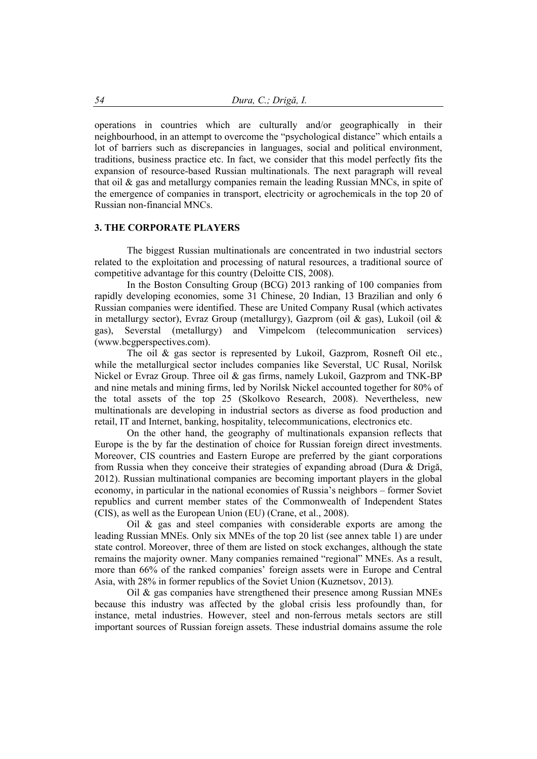operations in countries which are culturally and/or geographically in their neighbourhood, in an attempt to overcome the "psychological distance" which entails a lot of barriers such as discrepancies in languages, social and political environment, traditions, business practice etc. In fact, we consider that this model perfectly fits the expansion of resource-based Russian multinationals. The next paragraph will reveal that oil & gas and metallurgy companies remain the leading Russian MNCs, in spite of the emergence of companies in transport, electricity or agrochemicals in the top 20 of Russian non-financial MNCs.

#### **3. THE CORPORATE PLAYERS**

The biggest Russian multinationals are concentrated in two industrial sectors related to the exploitation and processing of natural resources, a traditional source of competitive advantage for this country (Deloitte CIS, 2008).

In the Boston Consulting Group (BCG) 2013 ranking of 100 companies from rapidly developing economies, some 31 Chinese, 20 Indian, 13 Brazilian and only 6 Russian companies were identified. These are United Company Rusal (which activates in metallurgy sector), Evraz Group (metallurgy), Gazprom (oil & gas), Lukoil (oil & gas), Severstal (metallurgy) and Vimpelcom (telecommunication services) (www.bcgperspectives.com).

The oil & gas sector is represented by Lukoil, Gazprom, Rosneft Oil etc., while the metallurgical sector includes companies like Severstal, UC Rusal, Norilsk Nickel or Evraz Group. Three oil & gas firms, namely Lukoil, Gazprom and TNK-BP and nine metals and mining firms, led by Norilsk Nickel accounted together for 80% of the total assets of the top 25 (Skolkovo Research, 2008). Nevertheless, new multinationals are developing in industrial sectors as diverse as food production and retail, IT and Internet, banking, hospitality, telecommunications, electronics etc.

On the other hand, the geography of multinationals expansion reflects that Europe is the by far the destination of choice for Russian foreign direct investments. Moreover, CIS countries and Eastern Europe are preferred by the giant corporations from Russia when they conceive their strategies of expanding abroad (Dura & Drigă, 2012). Russian multinational companies are becoming important players in the global economy, in particular in the national economies of Russia's neighbors – former Soviet republics and current member states of the Commonwealth of Independent States (CIS), as well as the European Union (EU) (Crane, et al., 2008).

Oil & gas and steel companies with considerable exports are among the leading Russian MNEs. Only six MNEs of the top 20 list (see annex table 1) are under state control. Moreover, three of them are listed on stock exchanges, although the state remains the majority owner. Many companies remained "regional" MNEs. As a result, more than 66% of the ranked companies' foreign assets were in Europe and Central Asia, with 28% in former republics of the Soviet Union (Kuznetsov, 2013)*.*

Oil & gas companies have strengthened their presence among Russian MNEs because this industry was affected by the global crisis less profoundly than, for instance, metal industries. However, steel and non-ferrous metals sectors are still important sources of Russian foreign assets. These industrial domains assume the role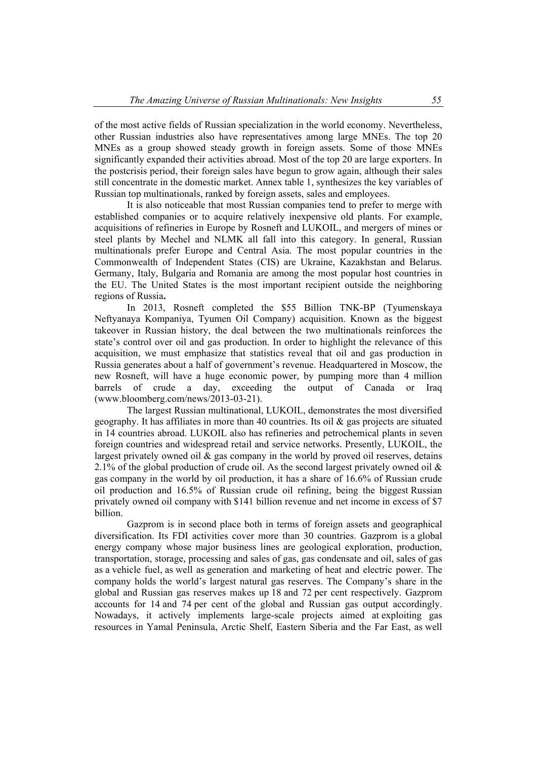of the most active fields of Russian specialization in the world economy. Nevertheless, other Russian industries also have representatives among large MNEs. The top 20 MNEs as a group showed steady growth in foreign assets. Some of those MNEs significantly expanded their activities abroad. Most of the top 20 are large exporters. In the postcrisis period, their foreign sales have begun to grow again, although their sales still concentrate in the domestic market. Annex table 1, synthesizes the key variables of Russian top multinationals, ranked by foreign assets, sales and employees.

It is also noticeable that most Russian companies tend to prefer to merge with established companies or to acquire relatively inexpensive old plants. For example, acquisitions of refineries in Europe by Rosneft and LUKOIL, and mergers of mines or steel plants by Mechel and NLMK all fall into this category. In general, Russian multinationals prefer Europe and Central Asia. The most popular countries in the Commonwealth of Independent States (CIS) are Ukraine, Kazakhstan and Belarus. Germany, Italy, Bulgaria and Romania are among the most popular host countries in the EU. The United States is the most important recipient outside the neighboring regions of Russia**.** 

In 2013, Rosneft completed the \$55 Billion TNK-BP (Tyumenskaya Neftyanaya Kompaniya, Tyumen Oil Company) acquisition. Known as the biggest takeover in Russian history, the deal between the two multinationals reinforces the state's control over oil and gas production. In order to highlight the relevance of this acquisition, we must emphasize that statistics reveal that oil and gas production in Russia generates about a half of government's revenue. Headquartered in Moscow, the new Rosneft, will have a huge economic power, by pumping more than 4 million barrels of crude a day, exceeding the output of Canada or Iraq (www.bloomberg.com/news/2013-03-21).

The largest Russian multinational, LUKOIL, demonstrates the most diversified geography. It has affiliates in more than 40 countries. Its oil  $\&$  gas projects are situated in 14 countries abroad. LUKOIL also has refineries and petrochemical plants in seven foreign countries and widespread retail and service networks. Presently, LUKOIL, the largest privately owned oil  $\&$  gas company in the world by proved oil reserves, detains 2.1% of the global production of crude oil. As the second largest privately owned oil  $\&$ gas company in the world by oil production, it has a share of 16.6% of Russian crude oil production and 16.5% of Russian crude oil refining, being the biggest Russian privately owned oil company with \$141 billion revenue and net income in excess of \$7 billion.

Gazprom is in second place both in terms of foreign assets and geographical diversification. Its FDI activities cover more than 30 countries. Gazprom is a global energy company whose major business lines are geological exploration, production, transportation, storage, processing and sales of gas, gas condensate and oil, sales of gas as a vehicle fuel, as well as generation and marketing of heat and electric power. The company holds the world's largest natural gas reserves. The Company's share in the global and Russian gas reserves makes up 18 and 72 per cent respectively. Gazprom accounts for 14 and 74 per cent of the global and Russian gas output accordingly. Nowadays, it actively implements large-scale projects aimed at exploiting gas resources in Yamal Peninsula, Arctic Shelf, Eastern Siberia and the Far East, as well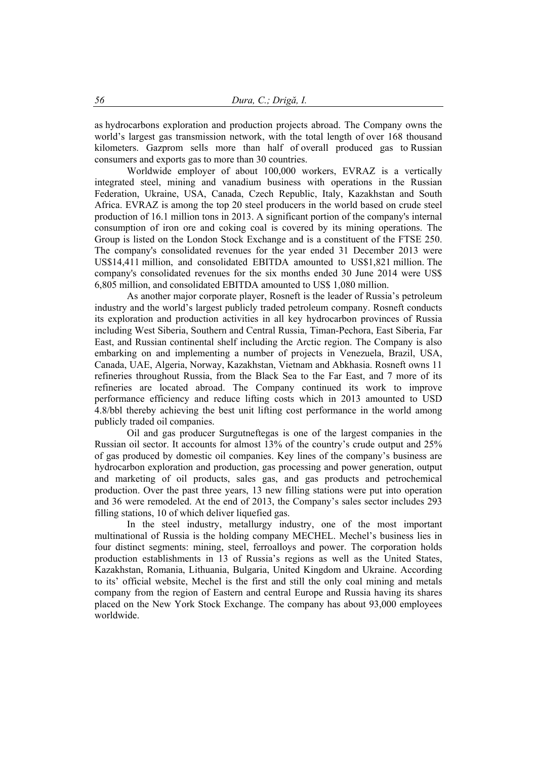as hydrocarbons exploration and production projects abroad. The Company owns the world's largest gas transmission network, with the total length of over 168 thousand kilometers. Gazprom sells more than half of overall produced gas to Russian consumers and exports gas to more than 30 countries.

Worldwide employer of about 100,000 workers, EVRAZ is a vertically integrated steel, mining and vanadium business with operations in the Russian Federation, Ukraine, USA, Canada, Czech Republic, Italy, Kazakhstan and South Africa. EVRAZ is among the top 20 steel producers in the world based on crude steel production of 16.1 million tons in 2013. A significant portion of the company's internal consumption of iron ore and coking coal is covered by its mining operations. The Group is listed on the London Stock Exchange and is a constituent of the FTSE 250. The company's consolidated revenues for the year ended 31 December 2013 were US\$14,411 million, and consolidated EBITDA amounted to US\$1,821 million. The company's consolidated revenues for the six months ended 30 June 2014 were US\$ 6,805 million, and consolidated EBITDA amounted to US\$ 1,080 million.

As another major corporate player, Rosneft is the leader of Russia's petroleum industry and the world's largest publicly traded petroleum company. Rosneft conducts its exploration and production activities in all key hydrocarbon provinces of Russia including West Siberia, Southern and Central Russia, Timan-Pechora, East Siberia, Far East, and Russian continental shelf including the Arctic region. The Company is also embarking on and implementing a number of projects in Venezuela, Brazil, USA, Canada, UAE, Algeria, Norway, Kazakhstan, Vietnam and Abkhasia. Rosneft owns 11 refineries throughout Russia, from the Black Sea to the Far East, and 7 more of its refineries are located abroad. The Company continued its work to improve performance efficiency and reduce lifting costs which in 2013 amounted to USD 4.8/bbl thereby achieving the best unit lifting cost performance in the world among publicly traded oil companies.

Oil and gas producer Surgutneftegas is one of the largest companies in the Russian oil sector. It accounts for almost 13% of the country's crude output and 25% of gas produced by domestic oil companies. Key lines of the company's business are hydrocarbon exploration and production, gas processing and power generation, output and marketing of oil products, sales gas, and gas products and petrochemical production. Over the past three years, 13 new filling stations were put into operation and 36 were remodeled. At the end of 2013, the Company's sales sector includes 293 filling stations, 10 of which deliver liquefied gas.

In the steel industry, metallurgy industry, one of the most important multinational of Russia is the holding company MECHEL. Mechel's business lies in four distinct segments: mining, steel, ferroalloys and power. The corporation holds production establishments in 13 of Russia's regions as well as the United States, Kazakhstan, Romania, Lithuania, Bulgaria, United Kingdom and Ukraine. According to its' official website, Mechel is the first and still the only coal mining and metals company from the region of Eastern and central Europe and Russia having its shares placed on the New York Stock Exchange. The company has about 93,000 employees worldwide.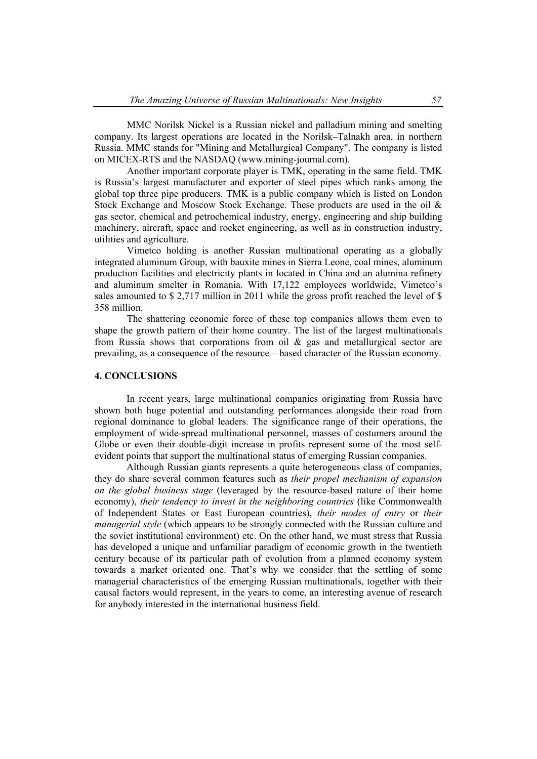MMC Norilsk Nickel is a Russian nickel and palladium mining and smelting company. Its largest operations are located in the Norilsk–Talnakh area, in northern Russia. MMC stands for "Mining and Metallurgical Company". The company is listed on MICEX-RTS and the NASDAQ (www.mining-journal.com).

Another important corporate player is TMK, operating in the same field. TMK is Russia's largest manufacturer and exporter of steel pipes which ranks among the global top three pipe producers. TMK is a public company which is listed on London Stock Exchange and Moscow Stock Exchange. These products are used in the oil & gas sector, chemical and petrochemical industry, energy, engineering and ship building machinery, aircraft, space and rocket engineering, as well as in construction industry, utilities and agriculture.

Vimetco holding is another Russian multinational operating as a globally integrated aluminum Group, with bauxite mines in Sierra Leone, coal mines, aluminum production facilities and electricity plants in located in China and an alumina refinery and aluminum smelter in Romania. With 17,122 employees worldwide, Vimetco's sales amounted to \$2,717 million in 2011 while the gross profit reached the level of \$ 358 million.

The shattering economic force of these top companies allows them even to shape the growth pattern of their home country. The list of the largest multinationals from Russia shows that corporations from oil  $\&$  gas and metallurgical sector are prevailing, as a consequence of the resource – based character of the Russian economy.

#### **4. CONCLUSIONS**

In recent years, large multinational companies originating from Russia have shown both huge potential and outstanding performances alongside their road from regional dominance to global leaders. The significance range of their operations, the employment of wide-spread multinational personnel, masses of costumers around the Globe or even their double-digit increase in profits represent some of the most selfevident points that support the multinational status of emerging Russian companies.

Although Russian giants represents a quite heterogeneous class of companies, they do share several common features such as *their propel mechanism of expansion on the global business stage* (leveraged by the resource-based nature of their home economy), *their tendency to invest in the neighboring countries* (like Commonwealth of Independent States or East European countries), *their modes of entry* or *their managerial style* (which appears to be strongly connected with the Russian culture and the soviet institutional environment) etc. On the other hand, we must stress that Russia has developed a unique and unfamiliar paradigm of economic growth in the twentieth century because of its particular path of evolution from a planned economy system towards a market oriented one. That's why we consider that the settling of some managerial characteristics of the emerging Russian multinationals, together with their causal factors would represent, in the years to come, an interesting avenue of research for anybody interested in the international business field.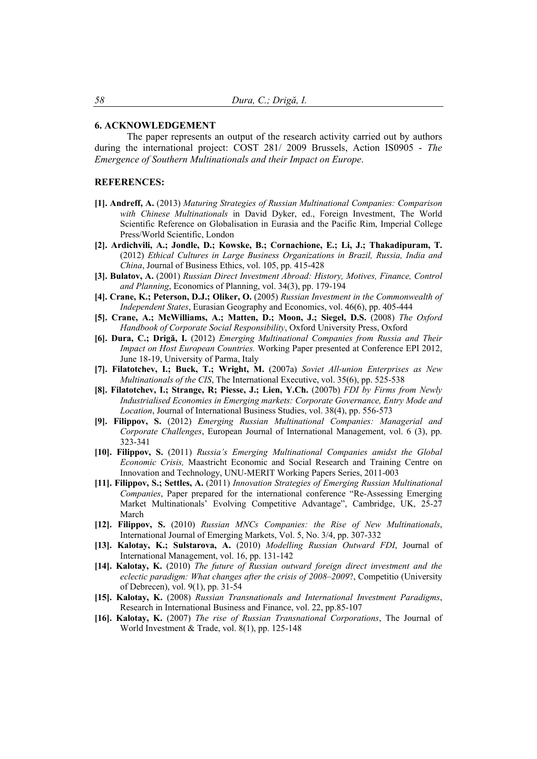#### **6. ACKNOWLEDGEMENT**

The paper represents an output of the research activity carried out by authors during the international project: COST 281/ 2009 Brussels, Action IS0905 - *The Emergence of Southern Multinationals and their Impact on Europe*.

#### **REFERENCES:**

- **[1]. Andreff, A.** (2013) *Maturing Strategies of Russian Multinational Companies: Comparison with Chinese Multinationals* in David Dyker, ed., Foreign Investment, The World Scientific Reference on Globalisation in Eurasia and the Pacific Rim, Imperial College Press/World Scientific, London
- **[2]. Ardichvili, A.; Jondle, D.; Kowske, B.; Cornachione, E.; Li, J.; Thakadipuram, T.** (2012) *Ethical Cultures in Large Business Organizations in Brazil, Russia, India and China*, Journal of Business Ethics, vol. 105, pp. 415-428
- **[3]. Bulatov, A.** (2001) *Russian Direct Investment Abroad: History, Motives, Finance, Control and Planning*, Economics of Planning, vol. 34(3), pp. 179-194
- **[4]. Crane, K.; Peterson, D.J.; Oliker, O.** (2005) *Russian Investment in the Commonwealth of Independent States*, Eurasian Geography and Economics, vol. 46(6), pp. 405-444
- **[5]. Crane, A.; McWilliams, A.; Matten, D.; Moon, J.; Siegel, D.S.** (2008) *The Oxford Handbook of Corporate Social Responsibility*, Oxford University Press, Oxford
- **[6]. Dura, C.; Drigă, I.** (2012) *Emerging Multinational Companies from Russia and Their Impact on Host European Countries.* Working Paper presented at Conference EPI 2012, June 18-19, University of Parma, Italy
- **[7]. Filatotchev, I.; Buck, T.; Wright, M.** (2007a) *Soviet All-union Enterprises as New Multinationals of the CIS*, The International Executive, vol. 35(6), pp. 525-538
- **[8]. Filatotchev, I.; Strange, R; Piesse, J.; Lien, Y.Ch.** (2007b) *FDI by Firms from Newly Industrialised Economies in Emerging markets: Corporate Governance, Entry Mode and Location*, Journal of International Business Studies, vol. 38(4), pp. 556-573
- **[9]. Filippov, S.** (2012) *Emerging Russian Multinational Companies: Managerial and Corporate Challenges*, European Journal of International Management, vol. 6 (3), pp. 323-341
- **[10]. Filippov, S.** (2011) *Russia's Emerging Multinational Companies amidst the Global Economic Crisis,* Maastricht Economic and Social Research and Training Centre on Innovation and Technology, UNU-MERIT Working Papers Series, 2011-003
- **[11]. Filippov, S.; Settles, A.** (2011) *Innovation Strategies of Emerging Russian Multinational Companies*, Paper prepared for the international conference "Re-Assessing Emerging Market Multinationals' Evolving Competitive Advantage", Cambridge, UK, 25-27 March
- **[12]. Filippov, S.** (2010) *Russian MNCs Companies: the Rise of New Multinationals*, International Journal of Emerging Markets, Vol. 5, No. 3/4, pp. 307-332
- **[13]. Kalotay, K.; Sulstarova, A.** (2010) *Modelling Russian Outward FDI*, Journal of International Management, vol. 16, pp. 131-142
- **[14]. Kalotay, K.** (2010) *The future of Russian outward foreign direct investment and the eclectic paradigm: What changes after the crisis of 2008–2009*?, Competitio (University of Debrecen), vol. 9(1), pp. 31-54
- **[15]. Kalotay, K.** (2008) *Russian Transnationals and International Investment Paradigms*, Research in International Business and Finance, vol. 22, pp.85-107
- **[16]. Kalotay, K.** (2007) *The rise of Russian Transnational Corporations*, The Journal of World Investment & Trade, vol. 8(1), pp. 125-148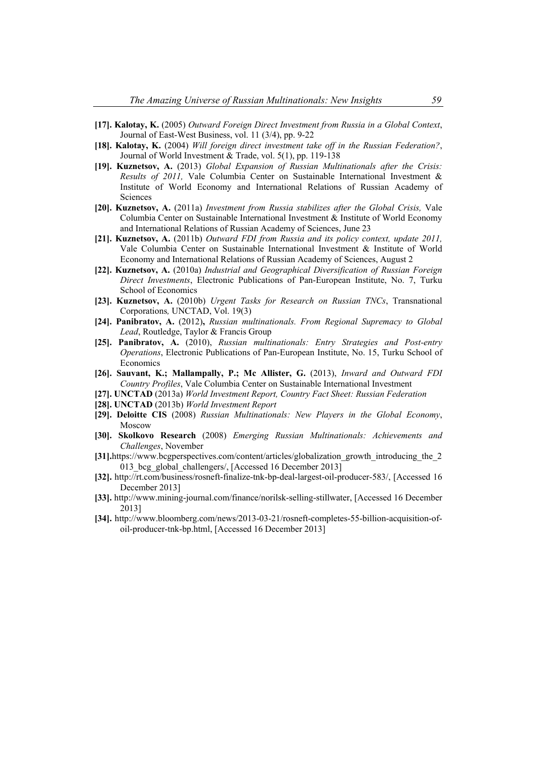- **[17]. Kalotay, K.** (2005) *Outward Foreign Direct Investment from Russia in a Global Context*, Journal of East-West Business, vol. 11 (3/4), pp. 9-22
- **[18]. Kalotay, K.** (2004) *Will foreign direct investment take off in the Russian Federation?*, Journal of World Investment & Trade, vol. 5(1), pp. 119-138
- **[19]. Kuznetsov, A.** (2013) *Global Expansion of Russian Multinationals after the Crisis: Results of 2011,* Vale Columbia Center on Sustainable International Investment & Institute of World Economy and International Relations of Russian Academy of Sciences
- **[20]. Kuznetsov, A.** (2011a) *Investment from Russia stabilizes after the Global Crisis,* Vale Columbia Center on Sustainable International Investment & Institute of World Economy and International Relations of Russian Academy of Sciences, June 23
- **[21]. Kuznetsov, A.** (2011b) *Outward FDI from Russia and its policy context, update 2011,*  Vale Columbia Center on Sustainable International Investment & Institute of World Economy and International Relations of Russian Academy of Sciences, August 2
- **[22]. Kuznetsov, A.** (2010a) *Industrial and Geographical Diversification of Russian Foreign Direct Investments*, Electronic Publications of Pan-European Institute, No. 7, Turku School of Economics
- **[23]. Kuznetsov, A.** (2010b) *Urgent Tasks for Research on Russian TNCs*, Transnational Corporations*,* UNCTAD, Vol. 19(3)
- **[24]. Panibratov, A.** (2012)**,** *Russian multinationals. From Regional Supremacy to Global Lead*, Routledge, Taylor & Francis Group
- **[25]. Panibratov, A.** (2010), *Russian multinationals: Entry Strategies and Post-entry Operations*, Electronic Publications of Pan-European Institute, No. 15, Turku School of Economics
- [26]. Sauvant, K.; Mallampally, P.; Mc Allister, G. (2013), *Inward and Outward FDI Country Profiles*, Vale Columbia Center on Sustainable International Investment
- **[27]. UNCTAD** (2013a) *World Investment Report, Country Fact Sheet: Russian Federation*
- **[28]. UNCTAD** (2013b) *World Investment Report*
- **[29]. Deloitte CIS** (2008) *Russian Multinationals: New Players in the Global Economy*, Moscow
- **[30]. Skolkovo Research** (2008) *Emerging Russian Multinationals: Achievements and Challenges*, November
- **[31].**https://www.bcgperspectives.com/content/articles/globalization\_growth\_introducing\_the\_2 013 bcg global challengers/, [Accessed 16 December 2013]
- **[32].** http://rt.com/business/rosneft-finalize-tnk-bp-deal-largest-oil-producer-583/, [Accessed 16 December 2013]
- **[33].** http://www.mining-journal.com/finance/norilsk-selling-stillwater, [Accessed 16 December 2013]
- **[34].** http://www.bloomberg.com/news/2013-03-21/rosneft-completes-55-billion-acquisition-ofoil-producer-tnk-bp.html, [Accessed 16 December 2013]